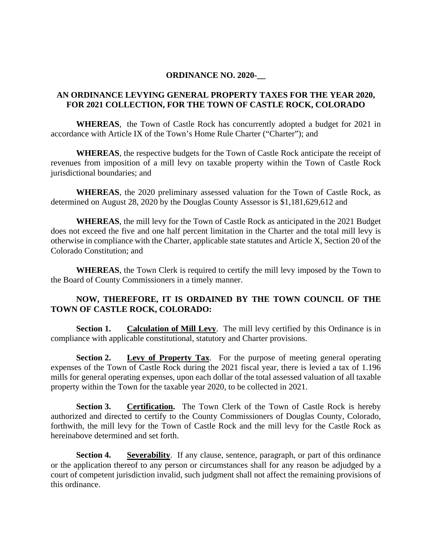## **ORDINANCE NO. 2020-\_\_**

## **AN ORDINANCE LEVYING GENERAL PROPERTY TAXES FOR THE YEAR 2020, FOR 2021 COLLECTION, FOR THE TOWN OF CASTLE ROCK, COLORADO**

**WHEREAS**, the Town of Castle Rock has concurrently adopted a budget for 2021 in accordance with Article IX of the Town's Home Rule Charter ("Charter"); and

**WHEREAS**, the respective budgets for the Town of Castle Rock anticipate the receipt of revenues from imposition of a mill levy on taxable property within the Town of Castle Rock jurisdictional boundaries; and

**WHEREAS**, the 2020 preliminary assessed valuation for the Town of Castle Rock, as determined on August 28, 2020 by the Douglas County Assessor is \$1,181,629,612 and

**WHEREAS**, the mill levy for the Town of Castle Rock as anticipated in the 2021 Budget does not exceed the five and one half percent limitation in the Charter and the total mill levy is otherwise in compliance with the Charter, applicable state statutes and Article X, Section 20 of the Colorado Constitution; and

**WHEREAS**, the Town Clerk is required to certify the mill levy imposed by the Town to the Board of County Commissioners in a timely manner.

## **NOW, THEREFORE, IT IS ORDAINED BY THE TOWN COUNCIL OF THE TOWN OF CASTLE ROCK, COLORADO:**

**Section 1.** Calculation of Mill Levy. The mill levy certified by this Ordinance is in compliance with applicable constitutional, statutory and Charter provisions.

**Section 2. Levy of Property Tax**. For the purpose of meeting general operating expenses of the Town of Castle Rock during the 2021 fiscal year, there is levied a tax of 1.196 mills for general operating expenses, upon each dollar of the total assessed valuation of all taxable property within the Town for the taxable year 2020, to be collected in 2021.

**Section 3.** Certification. The Town Clerk of the Town of Castle Rock is hereby authorized and directed to certify to the County Commissioners of Douglas County, Colorado, forthwith, the mill levy for the Town of Castle Rock and the mill levy for the Castle Rock as hereinabove determined and set forth.

**Section 4.** Severability. If any clause, sentence, paragraph, or part of this ordinance or the application thereof to any person or circumstances shall for any reason be adjudged by a court of competent jurisdiction invalid, such judgment shall not affect the remaining provisions of this ordinance.